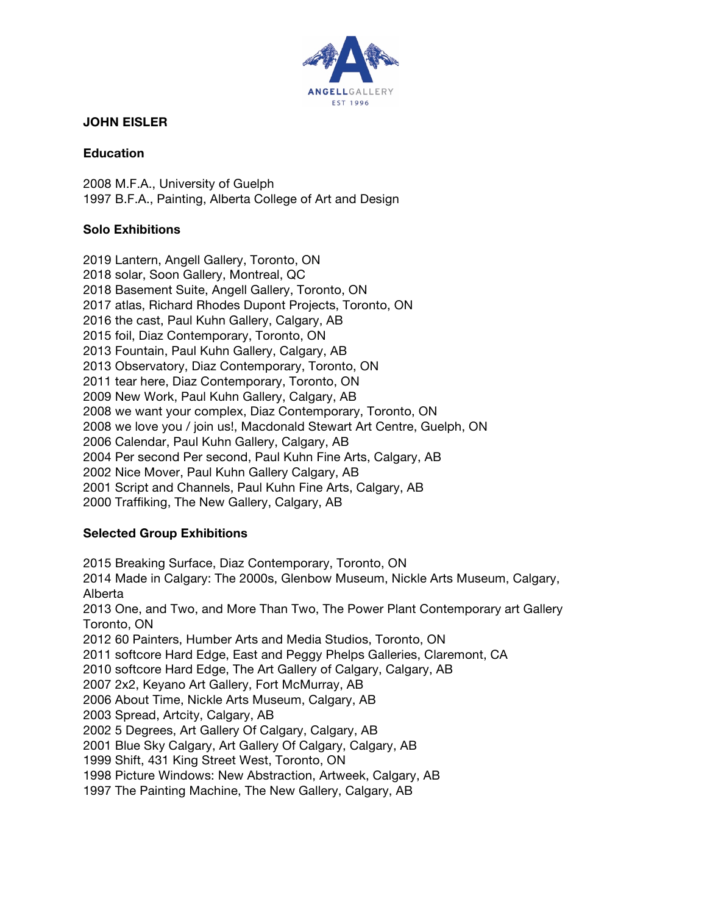

# **JOHN EISLER**

### **Education**

2008 M.F.A., University of Guelph 1997 B.F.A., Painting, Alberta College of Art and Design

# **Solo Exhibitions**

2019 Lantern, Angell Gallery, Toronto, ON 2018 solar, Soon Gallery, Montreal, QC 2018 Basement Suite, Angell Gallery, Toronto, ON 2017 atlas, Richard Rhodes Dupont Projects, Toronto, ON 2016 the cast, Paul Kuhn Gallery, Calgary, AB 2015 foil, Diaz Contemporary, Toronto, ON 2013 Fountain, Paul Kuhn Gallery, Calgary, AB 2013 Observatory, Diaz Contemporary, Toronto, ON 2011 tear here, Diaz Contemporary, Toronto, ON 2009 New Work, Paul Kuhn Gallery, Calgary, AB 2008 we want your complex, Diaz Contemporary, Toronto, ON 2008 we love you / join us!, Macdonald Stewart Art Centre, Guelph, ON 2006 Calendar, Paul Kuhn Gallery, Calgary, AB 2004 Per second Per second, Paul Kuhn Fine Arts, Calgary, AB 2002 Nice Mover, Paul Kuhn Gallery Calgary, AB 2001 Script and Channels, Paul Kuhn Fine Arts, Calgary, AB 2000 Traffiking, The New Gallery, Calgary, AB

# **Selected Group Exhibitions**

2015 Breaking Surface, Diaz Contemporary, Toronto, ON 2014 Made in Calgary: The 2000s, Glenbow Museum, Nickle Arts Museum, Calgary, Alberta 2013 One, and Two, and More Than Two, The Power Plant Contemporary art Gallery Toronto, ON 2012 60 Painters, Humber Arts and Media Studios, Toronto, ON 2011 softcore Hard Edge, East and Peggy Phelps Galleries, Claremont, CA 2010 softcore Hard Edge, The Art Gallery of Calgary, Calgary, AB 2007 2x2, Keyano Art Gallery, Fort McMurray, AB 2006 About Time, Nickle Arts Museum, Calgary, AB 2003 Spread, Artcity, Calgary, AB 2002 5 Degrees, Art Gallery Of Calgary, Calgary, AB 2001 Blue Sky Calgary, Art Gallery Of Calgary, Calgary, AB 1999 Shift, 431 King Street West, Toronto, ON 1998 Picture Windows: New Abstraction, Artweek, Calgary, AB 1997 The Painting Machine, The New Gallery, Calgary, AB